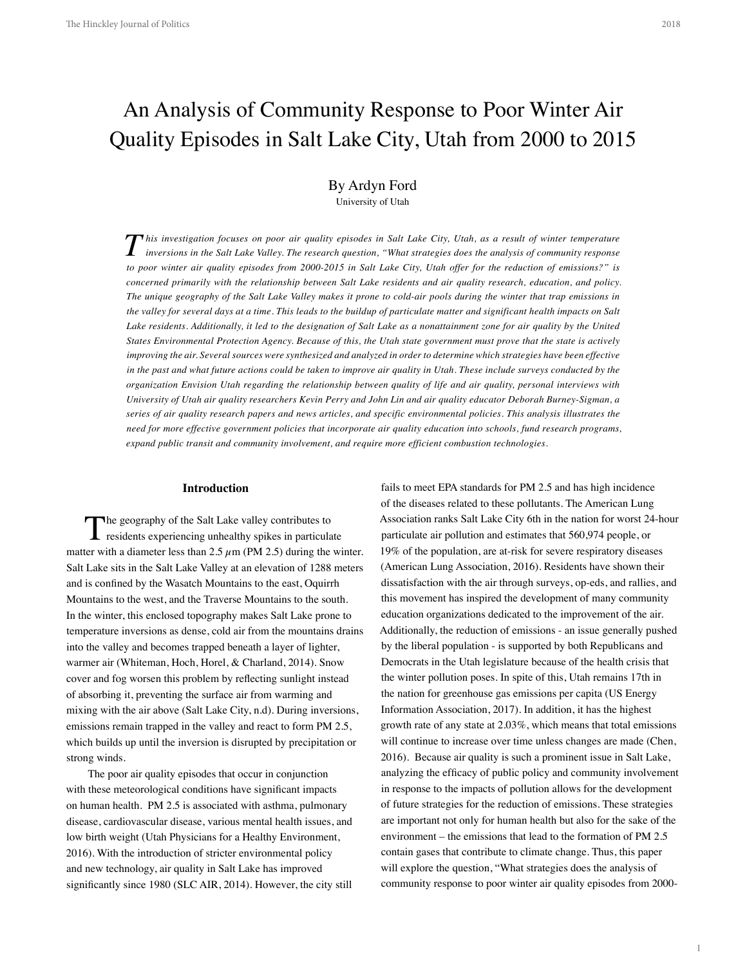# An Analysis of Community Response to Poor Winter Air Quality Episodes in Salt Lake City, Utah from 2000 to 2015

# By Ardyn Ford University of Utah

 $\boldsymbol{T}$  his investigation focuses on poor air quality episodes in Salt Lake City, Utah, as a result of winter temperature<br>inversions in the Salt Lake Valley. The research question, "What strategies does the analysis of co *to poor winter air quality episodes from 2000-2015 in Salt Lake City, Utah offer for the reduction of emissions?" is concerned primarily with the relationship between Salt Lake residents and air quality research, education, and policy. The unique geography of the Salt Lake Valley makes it prone to cold-air pools during the winter that trap emissions in the valley for several days at a time. This leads to the buildup of particulate matter and significant health impacts on Salt Lake residents. Additionally, it led to the designation of Salt Lake as a nonattainment zone for air quality by the United States Environmental Protection Agency. Because of this, the Utah state government must prove that the state is actively improving the air. Several sources were synthesized and analyzed in order to determine which strategies have been effective in the past and what future actions could be taken to improve air quality in Utah. These include surveys conducted by the organization Envision Utah regarding the relationship between quality of life and air quality, personal interviews with University of Utah air quality researchers Kevin Perry and John Lin and air quality educator Deborah Burney-Sigman, a series of air quality research papers and news articles, and specific environmental policies. This analysis illustrates the need for more effective government policies that incorporate air quality education into schools, fund research programs, expand public transit and community involvement, and require more efficient combustion technologies.*

#### **Introduction**

The geography of the Salt Lake valley contributes to residents experiencing unhealthy spikes in particulate matter with a diameter less than  $2.5 \mu$ m (PM 2.5) during the winter. Salt Lake sits in the Salt Lake Valley at an elevation of 1288 meters and is confined by the Wasatch Mountains to the east, Oquirrh Mountains to the west, and the Traverse Mountains to the south. In the winter, this enclosed topography makes Salt Lake prone to temperature inversions as dense, cold air from the mountains drains into the valley and becomes trapped beneath a layer of lighter, warmer air (Whiteman, Hoch, Horel, & Charland, 2014). Snow cover and fog worsen this problem by reflecting sunlight instead of absorbing it, preventing the surface air from warming and mixing with the air above (Salt Lake City, n.d). During inversions, emissions remain trapped in the valley and react to form PM 2.5, which builds up until the inversion is disrupted by precipitation or strong winds.

The poor air quality episodes that occur in conjunction with these meteorological conditions have significant impacts on human health. PM 2.5 is associated with asthma, pulmonary disease, cardiovascular disease, various mental health issues, and low birth weight (Utah Physicians for a Healthy Environment, 2016). With the introduction of stricter environmental policy and new technology, air quality in Salt Lake has improved significantly since 1980 (SLC AIR, 2014). However, the city still

fails to meet EPA standards for PM 2.5 and has high incidence of the diseases related to these pollutants. The American Lung Association ranks Salt Lake City 6th in the nation for worst 24-hour particulate air pollution and estimates that 560,974 people, or 19% of the population, are at-risk for severe respiratory diseases (American Lung Association, 2016). Residents have shown their dissatisfaction with the air through surveys, op-eds, and rallies, and this movement has inspired the development of many community education organizations dedicated to the improvement of the air. Additionally, the reduction of emissions - an issue generally pushed by the liberal population - is supported by both Republicans and Democrats in the Utah legislature because of the health crisis that the winter pollution poses. In spite of this, Utah remains 17th in the nation for greenhouse gas emissions per capita (US Energy Information Association, 2017). In addition, it has the highest growth rate of any state at 2.03%, which means that total emissions will continue to increase over time unless changes are made (Chen, 2016). Because air quality is such a prominent issue in Salt Lake, analyzing the efficacy of public policy and community involvement in response to the impacts of pollution allows for the development of future strategies for the reduction of emissions. These strategies are important not only for human health but also for the sake of the environment – the emissions that lead to the formation of PM 2.5 contain gases that contribute to climate change. Thus, this paper will explore the question, "What strategies does the analysis of community response to poor winter air quality episodes from 2000-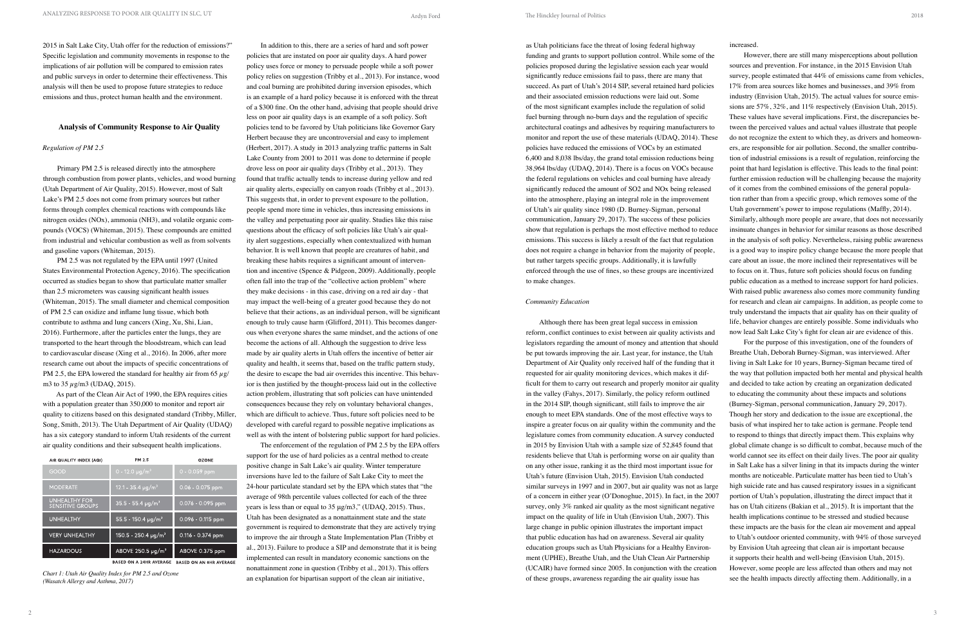2 3

2015 in Salt Lake City, Utah offer for the reduction of emissions?" Specific legislation and community movements in response to the implications of air pollution will be compared to emission rates and public surveys in order to determine their effectiveness. This analysis will then be used to propose future strategies to reduce emissions and thus, protect human health and the environment.

## **Analysis of Community Response to Air Quality**

PM 2.5 was not regulated by the EPA until 1997 (United States Environmental Protection Agency, 2016). The specification occurred as studies began to show that particulate matter smaller than 2.5 micrometers was causing significant health issues (Whiteman, 2015). The small diameter and chemical composition of PM 2.5 can oxidize and inflame lung tissue, which both contribute to asthma and lung cancers (Xing, Xu, Shi, Lian, 2016). Furthermore, after the particles enter the lungs, they are transported to the heart through the bloodstream, which can lead to cardiovascular disease (Xing et al., 2016). In 2006, after more research came out about the impacts of specific concentrations of PM 2.5, the EPA lowered the standard for healthy air from 65  $\mu$ g/ m3 to  $35 \mu$ g/m3 (UDAQ, 2015).

#### *Regulation of PM 2.5*

Primary PM 2.5 is released directly into the atmosphere through combustion from power plants, vehicles, and wood burning (Utah Department of Air Quality, 2015). However, most of Salt Lake's PM 2.5 does not come from primary sources but rather forms through complex chemical reactions with compounds like nitrogen oxides (NOx), ammonia (NH3), and volatile organic compounds (VOCS) (Whiteman, 2015). These compounds are emitted from industrial and vehicular combustion as well as from solvents and gasoline vapors (Whiteman, 2015).

As part of the Clean Air Act of 1990, the EPA requires cities with a population greater than 350,000 to monitor and report air quality to citizens based on this designated standard (Tribby, Miller, Song, Smith, 2013). The Utah Department of Air Quality (UDAQ) has a six category standard to inform Utah residents of the current air quality conditions and their subsequent health implications.

| AIR QUALITY INDEX (AQI)                         | PM 2.5                              | <b>OZONE</b>        |
|-------------------------------------------------|-------------------------------------|---------------------|
| GOOD                                            | $10 - 12.0 \text{ µg/m}^3$          | $0 - 0.059$ ppm     |
| <b>MODERATE</b>                                 | 12.1 - 35.4 $\mu$ g/m <sup>3</sup>  | $0.06 - 0.075$ ppm  |
| <b>UNHEALTHY FOR</b><br><b>SENSITIVE GROUPS</b> | $35.5 - 55.4 \mu q/m^3$             | $0.076 - 0.095$ ppm |
| <b>UNHEALTHY</b>                                | 55.5 - 150.4 $\mu$ g/m <sup>3</sup> | $0.096 - 0.115$ ppm |
| <b>VERY UNHEALTHY</b>                           | $150.5 - 250.4 \mu q/m^3$           | $0.116 - 0.374$ ppm |
| <b>HAZARDOUS</b>                                | ABOVE $250.5 \mu q/m^3$             | ABOVE 0.375 ppm     |

BASED ON A 24HR AVERAGE BASED ON AN 8HR AVERAGE

*Chart 1: Utah Air Quality Index for PM 2.5 and Ozone (Wasatch Allergy and Asthma, 2017)*

In addition to this, there are a series of hard and soft power policies that are instated on poor air quality days. A hard power policy uses force or money to persuade people while a soft power policy relies on suggestion (Tribby et al., 2013). For instance, wood and coal burning are prohibited during inversion episodes, which is an example of a hard policy because it is enforced with the threat of a \$300 fine. On the other hand, advising that people should drive less on poor air quality days is an example of a soft policy. Soft policies tend to be favored by Utah politicians like Governor Gary Herbert because they are uncontroversial and easy to implement (Herbert, 2017). A study in 2013 analyzing traffic patterns in Salt Lake County from 2001 to 2011 was done to determine if people drove less on poor air quality days (Tribby et al., 2013). They found that traffic actually tends to increase during yellow and red air quality alerts, especially on canyon roads (Tribby et al., 2013). This suggests that, in order to prevent exposure to the pollution, people spend more time in vehicles, thus increasing emissions in the valley and perpetuating poor air quality. Studies like this raise questions about the efficacy of soft policies like Utah's air quality alert suggestions, especially when contextualized with human behavior. It is well known that people are creatures of habit, and breaking these habits requires a significant amount of intervention and incentive (Spence & Pidgeon, 2009). Additionally, people often fall into the trap of the "collective action problem" where they make decisions - in this case, driving on a red air day - that may impact the well-being of a greater good because they do not believe that their actions, as an individual person, will be significant enough to truly cause harm (Glifford, 2011). This becomes dangerous when everyone shares the same mindset, and the actions of one become the actions of all. Although the suggestion to drive less made by air quality alerts in Utah offers the incentive of better air quality and health, it seems that, based on the traffic pattern study, the desire to escape the bad air overrides this incentive. This behavior is then justified by the thought-process laid out in the collective action problem, illustrating that soft policies can have unintended consequences because they rely on voluntary behavioral changes, which are difficult to achieve. Thus, future soft policies need to be developed with careful regard to possible negative implications as well as with the intent of bolstering public support for hard policies.

The enforcement of the regulation of PM 2.5 by the EPA offers support for the use of hard policies as a central method to create positive change in Salt Lake's air quality. Winter temperature inversions have led to the failure of Salt Lake City to meet the 24-hour particulate standard set by the EPA which states that "the average of 98th percentile values collected for each of the three years is less than or equal to 35 μg/m3," (UDAQ, 2015). Thus, Utah has been designated as a nonattainment state and the state government is required to demonstrate that they are actively trying to improve the air through a State Implementation Plan (Tribby et al., 2013). Failure to produce a SIP and demonstrate that it is being implemented can result in mandatory economic sanctions on the nonattainment zone in question (Tribby et al., 2013). This offers an explanation for bipartisan support of the clean air initiative,

#### *Community Education*

increased.

as Utah politicians face the threat of losing federal highway funding and grants to support pollution control. While some of the Although there has been great legal success in emission However, there are still many misperceptions about pollution sources and prevention. For instance, in the 2015 Envision Utah survey, people estimated that 44% of emissions came from vehicles, 17% from area sources like homes and businesses, and 39% from industry (Envision Utah, 2015). The actual values for source emissions are 57%, 32%, and 11% respectively (Envision Utah, 2015). These values have several implications. First, the discrepancies between the perceived values and actual values illustrate that people do not recognize the extent to which they, as drivers and homeowners, are responsible for air pollution. Second, the smaller contribution of industrial emissions is a result of regulation, reinforcing the point that hard legislation is effective. This leads to the final point: further emission reduction will be challenging because the majority of it comes from the combined emissions of the general population rather than from a specific group, which removes some of the Utah government's power to impose regulations (Maffly, 2014). Similarly, although more people are aware, that does not necessarily insinuate changes in behavior for similar reasons as those described in the analysis of soft policy. Nevertheless, raising public awareness is a good way to inspire policy change because the more people that care about an issue, the more inclined their representatives will be to focus on it. Thus, future soft policies should focus on funding public education as a method to increase support for hard policies. With raised public awareness also comes more community funding for research and clean air campaigns. In addition, as people come to truly understand the impacts that air quality has on their quality of life, behavior changes are entirely possible. Some individuals who now lead Salt Lake City's fight for clean air are evidence of this. For the purpose of this investigation, one of the founders of Breathe Utah, Deborah Burney-Sigman, was interviewed. After living in Salt Lake for 10 years, Burney-Sigman became tired of the way that pollution impacted both her mental and physical health and decided to take action by creating an organization dedicated to educating the community about these impacts and solutions (Burney-Sigman, personal communication, January 29, 2017). Though her story and dedication to the issue are exceptional, the basis of what inspired her to take action is germane. People tend to respond to things that directly impact them. This explains why global climate change is so difficult to combat, because much of the world cannot see its effect on their daily lives. The poor air quality in Salt Lake has a silver lining in that its impacts during the winter months are noticeable. Particulate matter has been tied to Utah's high suicide rate and has caused respiratory issues in a significant portion of Utah's population, illustrating the direct impact that it has on Utah citizens (Bakian et al., 2015). It is important that the health implications continue to be stressed and studied because these impacts are the basis for the clean air movement and appeal to Utah's outdoor oriented community, with 94% of those surveyed by Envision Utah agreeing that clean air is important because it supports their health and well-being (Envision Utah, 2015).

policies proposed during the legislative session each year would significantly reduce emissions fail to pass, there are many that succeed. As part of Utah's 2014 SIP, several retained hard policies and their associated emission reductions were laid out. Some of the most significant examples include the regulation of solid fuel burning through no-burn days and the regulation of specific architectural coatings and adhesives by requiring manufacturers to monitor and report the use of these materials (UDAQ, 2014). These policies have reduced the emissions of VOCs by an estimated 6,400 and 8,038 lbs/day, the grand total emission reductions being 38,964 lbs/day (UDAQ, 2014). There is a focus on VOCs because the federal regulations on vehicles and coal burning have already significantly reduced the amount of SO2 and NOx being released into the atmosphere, playing an integral role in the improvement of Utah's air quality since 1980 (D. Burney-Sigman, personal communication, January 29, 2017). The success of these policies show that regulation is perhaps the most effective method to reduce emissions. This success is likely a result of the fact that regulation does not require a change in behavior from the majority of people, but rather targets specific groups. Additionally, it is lawfully enforced through the use of fines, so these groups are incentivized to make changes. reform, conflict continues to exist between air quality activists and legislators regarding the amount of money and attention that should be put towards improving the air. Last year, for instance, the Utah Department of Air Quality only received half of the funding that it requested for air quality monitoring devices, which makes it difficult for them to carry out research and properly monitor air quality in the valley (Fahys, 2017). Similarly, the policy reform outlined in the 2014 SIP, though significant, still fails to improve the air enough to meet EPA standards. One of the most effective ways to inspire a greater focus on air quality within the community and the legislature comes from community education. A survey conducted in 2015 by Envision Utah with a sample size of 52,845 found that residents believe that Utah is performing worse on air quality than on any other issue, ranking it as the third most important issue for Utah's future (Envision Utah, 2015). Envision Utah conducted similar surveys in 1997 and in 2007, but air quality was not as large of a concern in either year (O'Donoghue, 2015). In fact, in the 2007 survey, only 3% ranked air quality as the most significant negative impact on the quality of life in Utah (Envision Utah, 2007). This large change in public opinion illustrates the important impact that public education has had on awareness. Several air quality education groups such as Utah Physicians for a Healthy Environment (UPHE), Breathe Utah, and the Utah Clean Air Partnership (UCAIR) have formed since 2005. In conjunction with the creation of these groups, awareness regarding the air quality issue has However, some people are less affected than others and may not see the health impacts directly affecting them. Additionally, in a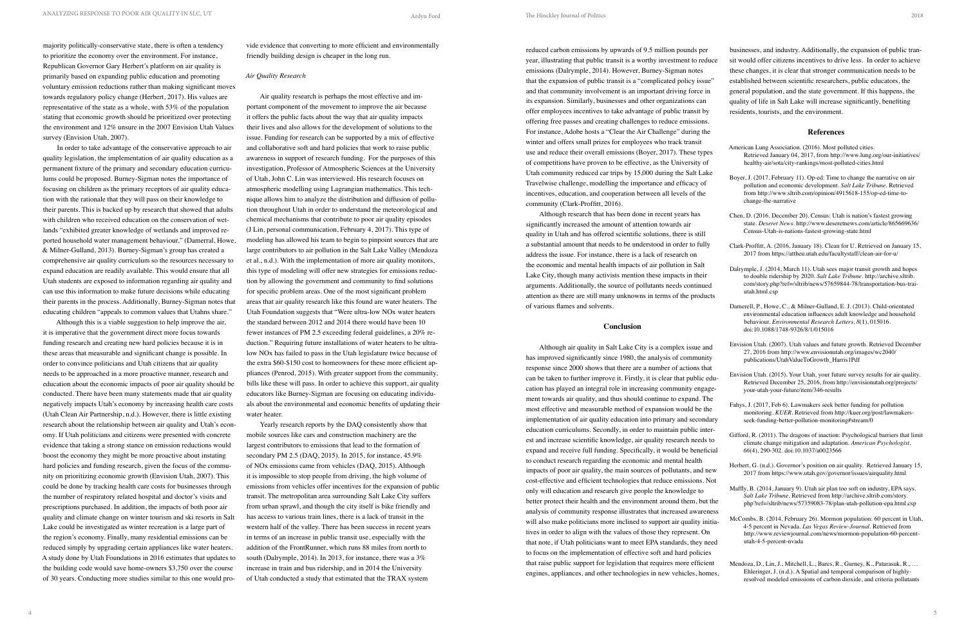majority politically-conservative state, there is often a tendency to prioritize the economy over the environment. For instance, Republican Governor Gary Herbert's platform on air quality is primarily based on expanding public education and promoting voluntary emission reductions rather than making significant moves towards regulatory policy change (Herbert, 2017). His values are representative of the state as a whole, with 53% of the population stating that economic growth should be prioritized over protecting the environment and 12% unsure in the 2007 Envision Utah Values survey (Envision Utah, 2007).

In order to take advantage of the conservative approach to air quality legislation, the implementation of air quality education as a permanent fixture of the primary and secondary education curriculums could be proposed. Burney-Sigman notes the importance of focusing on children as the primary receptors of air quality education with the rationale that they will pass on their knowledge to their parents. This is backed up by research that showed that adults with children who received education on the conservation of wetlands "exhibited greater knowledge of wetlands and improved reported household water management behaviour," (Damerral, Howe, & Milner-Gulland, 2013). Burney-Sigman's group has created a comprehensive air quality curriculum so the resources necessary to expand education are readily available. This would ensure that all Utah students are exposed to information regarding air quality and can use this information to make future decisions while educating their parents in the process. Additionally, Burney-Sigman notes that educating children "appeals to common values that Utahns share."

Although this is a viable suggestion to help improve the air, it is imperative that the government direct more focus towards funding research and creating new hard policies because it is in these areas that measurable and significant change is possible. In order to convince politicians and Utah citizens that air quality needs to be approached in a more proactive manner, research and education about the economic impacts of poor air quality should be conducted. There have been many statements made that air quality negatively impacts Utah's economy by increasing health care costs (Utah Clean Air Partnership, n.d.). However, there is little existing research about the relationship between air quality and Utah's economy. If Utah politicians and citizens were presented with concrete evidence that taking a strong stance on emission reductions would boost the economy they might be more proactive about instating hard policies and funding research, given the focus of the community on prioritizing economic growth (Envision Utah, 2007). This could be done by tracking health care costs for businesses through the number of respiratory related hospital and doctor's visits and prescriptions purchased. In addition, the impacts of both poor air quality and climate change on winter tourism and ski resorts in Salt Lake could be investigated as winter recreation is a large part of the region's economy. Finally, many residential emissions can be reduced simply by upgrading certain appliances like water heaters. A study done by Utah Foundations in 2016 estimates that updates to the building code would save home-owners \$3,750 over the course of 30 years. Conducting more studies similar to this one would pro-

vide evidence that converting to more efficient and environmentally friendly building design is cheaper in the long run.

### *Air Quality Research*

Air quality research is perhaps the most effective and important component of the movement to improve the air because it offers the public facts about the way that air quality impacts their lives and also allows for the development of solutions to the issue. Funding for research can be supported by a mix of effective and collaborative soft and hard policies that work to raise public awareness in support of research funding. For the purposes of this investigation, Professor of Atmospheric Sciences at the University of Utah, John C. Lin was interviewed. His research focuses on atmospheric modelling using Lagrangian mathematics. This technique allows him to analyze the distribution and diffusion of pollution throughout Utah in order to understand the meteorological and chemical mechanisms that contribute to poor air quality episodes (J Lin, personal communication, February 4, 2017). This type of modeling has allowed his team to begin to pinpoint sources that are large contributors to air pollution in the Salt Lake Valley (Mendoza et al., n.d.). With the implementation of more air quality monitors, this type of modeling will offer new strategies for emissions reduction by allowing the government and community to find solutions for specific problem areas. One of the most significant problem areas that air quality research like this found are water heaters. The Utah Foundation suggests that "Were ultra-low NOx water heaters the standard between 2012 and 2014 there would have been 10 fewer instances of PM 2.5 exceeding federal guidelines, a 20% reduction." Requiring future installations of water heaters to be ultralow NOx has failed to pass in the Utah legislature twice because of the extra \$60-\$150 cost to homeowners for these more efficient appliances (Penrod, 2015). With greater support from the community, bills like these will pass. In order to achieve this support, air quality educators like Burney-Sigman are focusing on educating individuals about the environmental and economic benefits of updating their water heater.

Yearly research reports by the DAQ consistently show that mobile sources like cars and construction machinery are the largest contributors to emissions that lead to the formation of secondary PM 2.5 (DAQ, 2015). In 2015, for instance, 45.9% of NOx emissions came from vehicles (DAQ, 2015). Although it is impossible to stop people from driving, the high volume of emissions from vehicles offer incentives for the expansion of public transit. The metropolitan area surrounding Salt Lake City suffers from urban sprawl, and though the city itself is bike friendly and has access to various train lines, there is a lack of transit in the western half of the valley. There has been success in recent years in terms of an increase in public transit use, especially with the addition of the FrontRunner, which runs 88 miles from north to south (Dalrymple, 2014). In 2013, for instance, there was a 3% increase in train and bus ridership, and in 2014 the University of Utah conducted a study that estimated that the TRAX system

reduced carbon emissions by upwards of 9.5 million pounds per year, illustrating that public transit is a worthy investment to reduce emissions (Dalrymple, 2014). However, Burney-Sigman notes that the expansion of public transit is a "complicated policy issue" and that community involvement is an important driving force in its expansion. Similarly, businesses and other organizations can offer employees incentives to take advantage of public transit by offering free passes and creating challenges to reduce emissions. For instance, Adobe hosts a "Clear the Air Challenge" during the winter and offers small prizes for employees who track transit use and reduce their overall emissions (Boyer, 2017). These types of competitions have proven to be effective, as the University of Utah community reduced car trips by 15,000 during the Salt Lake Travelwise challenge, modelling the importance and efficacy of incentives, education, and cooperation between all levels of the community (Clark-Proffitt, 2016).

Although research that has been done in recent years has significantly increased the amount of attention towards air quality in Utah and has offered scientific solutions, there is still a substantial amount that needs to be understood in order to fully address the issue. For instance, there is a lack of research on the economic and mental health impacts of air pollution in Salt Lake City, though many activists mention these impacts in their arguments. Additionally, the source of pollutants needs continued attention as there are still many unknowns in terms of the products of various flames and solvents.

#### **Conclusion**

Although air quality in Salt Lake City is a complex issue and has improved significantly since 1980, the analysis of community response since 2000 shows that there are a number of actions that can be taken to further improve it. Firstly, it is clear that public education has played an integral role in increasing community engagement towards air quality, and thus should continue to expand. The most effective and measurable method of expansion would be the implementation of air quality education into primary and secondary education curriculums. Secondly, in order to maintain public interest and increase scientific knowledge, air quality research needs to expand and receive full funding. Specifically, it would be beneficial to conduct research regarding the economic and mental health impacts of poor air quality, the main sources of pollutants, and new cost-effective and efficient technologies that reduce emissions. Not only will education and research give people the knowledge to better protect their health and the environment around them, but the analysis of community response illustrates that increased awareness will also make politicians more inclined to support air quality initiatives in order to align with the values of those they represent. On that note, if Utah politicians want to meet EPA standards, they need to focus on the implementation of effective soft and hard policies that raise public support for legislation that requires more efficient engines, appliances, and other technologies in new vehicles, homes,

businesses, and industry. Additionally, the expansion of public transit would offer citizens incentives to drive less. In order to achieve these changes, it is clear that stronger communication needs to be established between scientific researchers, public educators, the general population, and the state government. If this happens, the quality of life in Salt Lake will increase significantly, benefiting residents, tourists, and the environment.

### **References**

- American Lung Association. (2016). Most polluted cities. Retrieved January 04, 2017, from http://www.lung.org/our-initiatives/ healthy-air/sota/city-rankings/most-polluted-cities.html
- Boyer, J. (2017, February 11). Op-ed: Time to change the narrative on air pollution and economic development. *Salt Lake Tribune*. Retrieved from http://www.sltrib.com/opinion/4915618-155/op-ed-time-tochange-the-narrative
	- Chen, D. (2016, December 20). Census: Utah is nation's fastest growing state. *Deseret News*. http://www.deseretnews.com/article/865669636/ Census-Utah-is-nations-fastest-growing-state.html
	- Clark-Proffitt, A. (2016, January 18). Clean for U. Retrieved on January 15, 2017 from https://attheu.utah.edu/facultystaff/clean-air-for-u/
	- Dalrymple, J. (2014, March 11). Utah sees major transit growth and hopes to double ridership by 2020. *Salt Lake Tribune*. http://archive.sltrib. com/story.php?ref=/sltrib/news/57659844-78/transportation-bus-traiutah.html.csp
- Damerell, P., Howe, C., & Milner-Gulland, E. J. (2013). Child-orientated environmental education influences adult knowledge and household behaviour. *Environmental Research Letters, 8*(1), 015016. doi:10.1088/1748-9326/8/1/015016
- Envision Utah. (2007). Utah values and future growth. Retrieved December 27, 2016 from http://www.envisionutah.org/images/wc2040/ publications/UtahValueToGrowth\_Harris1Pdf
- Envision Utah. (2015). Your Utah, your future survey results for air quality. Retrieved December 25, 2016, from http://envisionutah.org/projects/ your-utah-your-future/item/346-results
- Fahys, J. (2017, Feb 6). Lawmakers seek better funding for pollution monitoring. *KUER*. Retrieved from http://kuer.org/post/lawmakersseek-funding-better-pollution-monitoring#stream/0
- Gifford, R. (2011). The dragons of inaction: Psychological barriers that limit climate change mitigation and adaptation. *American Psychologist, 66*(4), 290-302. doi:10.1037/a0023566
- Herbert, G. (n.d.). Governor's position on air quality. Retrieved January 15, 2017 from https://www.utah.gov/governor/issues/airquality.html
- Maffly, B. (2014, January 9). Utah air plan too soft on industry, EPA says. *Salt Lake Tribune*. Retrieved from http://archive.sltrib.com/story. php?ref=/sltrib/news/57359083-78/plan-utah-pollution-epa.html.csp
- McCombs, B. (2014, February 26). Mormon population: 60 percent in Utah, 4-5 percent in Nevada. *Las Vegas Review-Journal.* Retrieved from http://www.reviewjournal.com/news/mormon-population-60-percentutah-4-5-percent-nvada
- Mendoza, D., Lin, J., Mitchell, L., Bares, R., Gurney, K., Patarasuk, R., … Ehleringer, J. (n.d.). A Spatial and temporal comparison of highlyresolved modeled emissions of carbon dioxide, and criteria pollutants